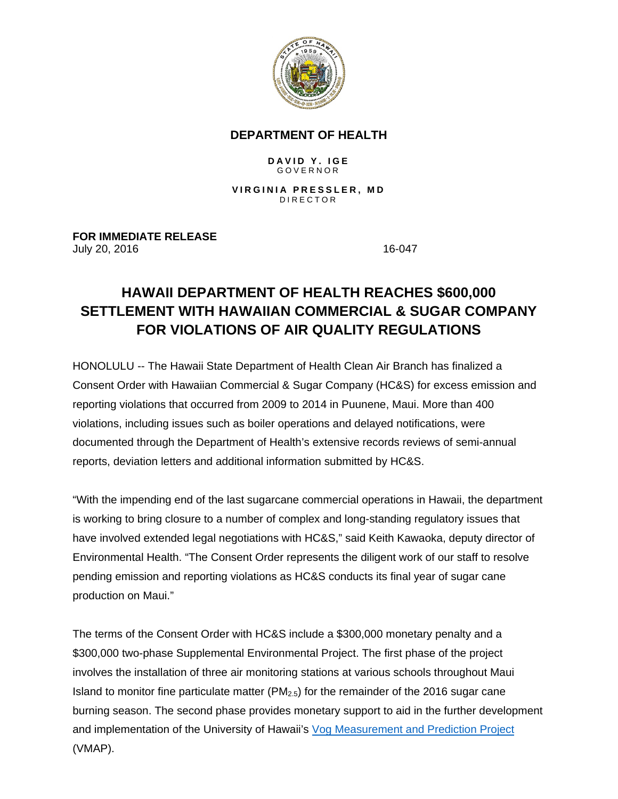

## **DEPARTMENT OF HEALTH**

## **DAVID Y. IGE** GOVERNOR

**VIRGINIA PRESSLER, MD** DIRECTOR

**FOR IMMEDIATE RELEASE** July 20, 2016 **16-047** 

## **HAWAII DEPARTMENT OF HEALTH REACHES \$600,000 SETTLEMENT WITH HAWAIIAN COMMERCIAL & SUGAR COMPANY FOR VIOLATIONS OF AIR QUALITY REGULATIONS**

HONOLULU -- The Hawaii State Department of Health Clean Air Branch has finalized a Consent Order with Hawaiian Commercial & Sugar Company (HC&S) for excess emission and reporting violations that occurred from 2009 to 2014 in Puunene, Maui. More than 400 violations, including issues such as boiler operations and delayed notifications, were documented through the Department of Health's extensive records reviews of semi-annual reports, deviation letters and additional information submitted by HC&S.

"With the impending end of the last sugarcane commercial operations in Hawaii, the department is working to bring closure to a number of complex and long-standing regulatory issues that have involved extended legal negotiations with HC&S," said Keith Kawaoka, deputy director of Environmental Health. "The Consent Order represents the diligent work of our staff to resolve pending emission and reporting violations as HC&S conducts its final year of sugar cane production on Maui."

The terms of the Consent Order with HC&S include a \$300,000 monetary penalty and a \$300,000 two-phase Supplemental Environmental Project. The first phase of the project involves the installation of three air monitoring stations at various schools throughout Maui Island to monitor fine particulate matter ( $PM<sub>2.5</sub>$ ) for the remainder of the 2016 sugar cane burning season. The second phase provides monetary support to aid in the further development and implementation of the University of Hawaii's Vog Measurement and Prediction Project (VMAP).